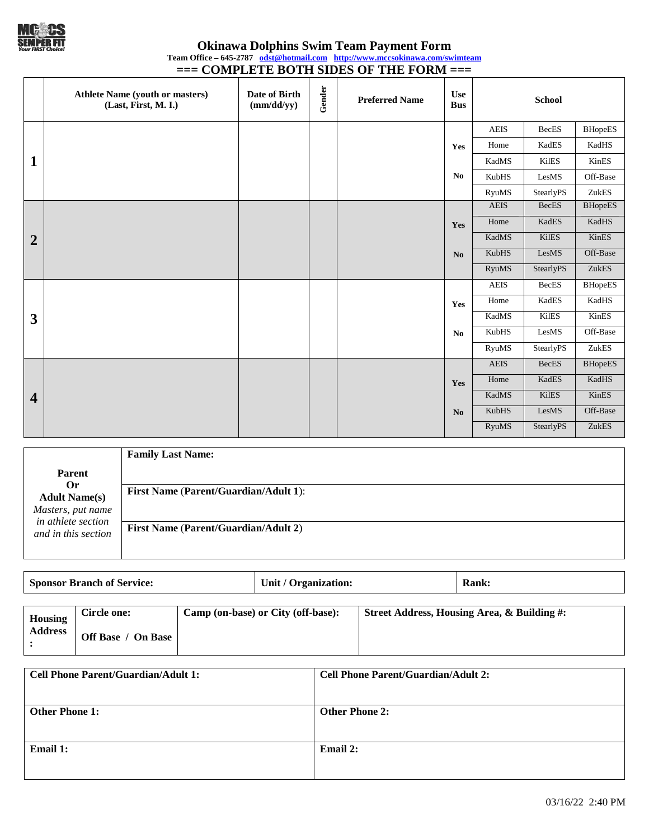

**Okinawa Dolphins Swim Team Payment Form Team Office – 645-2787 [odst@hotmail.com](mailto:odst@hotmail.com) <http://www.mccsokinawa.com/swimteam> === COMPLETE BOTH SIDES OF THE FORM ===**

|                         | <b>Athlete Name (youth or masters)</b><br>(Last, First, M. I.) | Date of Birth<br>(mm/dd/yy) | Gender | <b>Preferred Name</b> | <b>Use</b><br><b>Bus</b> | <b>School</b> |                        |                |
|-------------------------|----------------------------------------------------------------|-----------------------------|--------|-----------------------|--------------------------|---------------|------------------------|----------------|
|                         |                                                                |                             |        |                       |                          | <b>AEIS</b>   | <b>BecES</b>           | <b>BHopeES</b> |
|                         |                                                                |                             |        |                       | Yes                      | Home          | KadES                  | KadHS          |
| 1                       |                                                                |                             |        |                       |                          | KadMS         | <b>KilES</b>           | KinES          |
|                         |                                                                |                             |        |                       | No                       | <b>KubHS</b>  | LesMS                  | Off-Base       |
|                         |                                                                |                             |        |                       |                          | <b>RyuMS</b>  | StearlyPS              | ZukES          |
|                         |                                                                |                             |        |                       |                          | <b>AEIS</b>   | <b>BecES</b>           | <b>BHopeES</b> |
|                         |                                                                |                             |        |                       | Yes                      | Home          | KadES                  | KadHS          |
| $\overline{2}$          |                                                                |                             |        |                       |                          | KadMS         | <b>KilES</b>           | KinES          |
|                         |                                                                |                             |        |                       | N <sub>o</sub>           | KubHS         | LesMS                  | Off-Base       |
|                         |                                                                |                             |        |                       |                          | <b>RyuMS</b>  | StearlyPS              | ZukES          |
|                         |                                                                |                             |        |                       |                          | AEIS          | BecES                  | <b>BHopeES</b> |
|                         |                                                                |                             |        |                       | Yes                      | Home          | KadES                  | KadHS          |
| $\overline{\mathbf{3}}$ |                                                                |                             |        |                       |                          | KadMS         | <b>KilES</b>           | KinES          |
|                         |                                                                |                             |        |                       | No                       | KubHS         | LesMS                  | Off-Base       |
|                         |                                                                |                             |        |                       |                          | <b>RyuMS</b>  | <b>StearlyPS</b>       | ZukES          |
|                         |                                                                |                             |        |                       |                          | <b>AEIS</b>   | <b>BecES</b>           | <b>BHopeES</b> |
|                         |                                                                |                             |        |                       | Yes                      | Home          | KadES                  | KadHS          |
| $\overline{\mathbf{4}}$ |                                                                |                             |        |                       |                          | KadMS         | <b>KilES</b>           | KinES          |
|                         |                                                                |                             |        |                       | N <sub>o</sub>           | KubHS         | $\operatorname{LesMS}$ | Off-Base       |
|                         |                                                                |                             |        |                       |                          | <b>RyuMS</b>  | StearlyPS              | ZukES          |

|                                                                       | <b>Family Last Name:</b>                     |
|-----------------------------------------------------------------------|----------------------------------------------|
| <b>Parent</b>                                                         |                                              |
| 0r<br><b>Adult Name(s)</b><br>Masters, put name<br>in athlete section | <b>First Name (Parent/Guardian/Adult 1):</b> |
| and in this section                                                   | <b>First Name (Parent/Guardian/Adult 2)</b>  |

| <b>Sponsor Branch of Service:</b> |                    |  | Unit / Organization:               | Rank:                                       |
|-----------------------------------|--------------------|--|------------------------------------|---------------------------------------------|
|                                   |                    |  |                                    |                                             |
| <b>Housing</b>                    | Circle one:        |  | Camp (on-base) or City (off-base): | Street Address, Housing Area, & Building #: |
| <b>Address</b>                    | Off Base / On Base |  |                                    |                                             |

| <b>Cell Phone Parent/Guardian/Adult 1:</b> | <b>Cell Phone Parent/Guardian/Adult 2:</b> |
|--------------------------------------------|--------------------------------------------|
| <b>Other Phone 1:</b>                      | <b>Other Phone 2:</b>                      |
| <b>Email 1:</b>                            | Email 2:                                   |